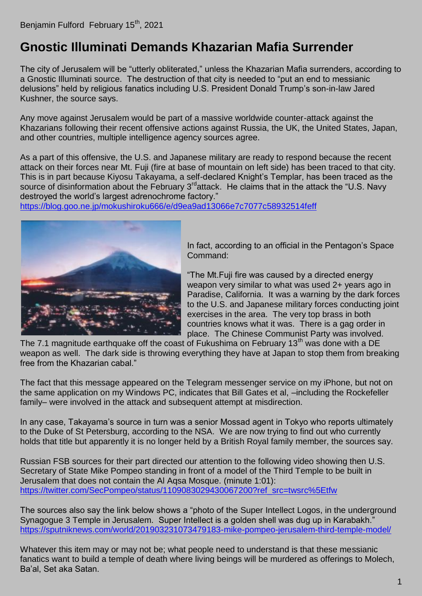## **Gnostic Illuminati Demands Khazarian Mafia Surrender**

The city of Jerusalem will be "utterly obliterated," unless the Khazarian Mafia surrenders, according to a Gnostic Illuminati source. The destruction of that city is needed to "put an end to messianic delusions" held by religious fanatics including U.S. President Donald Trump's son-in-law Jared Kushner, the source says.

Any move against Jerusalem would be part of a massive worldwide counter-attack against the Khazarians following their recent offensive actions against Russia, the UK, the United States, Japan, and other countries, multiple intelligence agency sources agree.

As a part of this offensive, the U.S. and Japanese military are ready to respond because the recent attack on their forces near Mt. Fuji (fire at base of mountain on left side) has been traced to that city. This is in part because Kiyosu Takayama, a self-declared Knight's Templar, has been traced as the source of disinformation about the February  $3<sup>rd</sup>$ attack. He claims that in the attack the "U.S. Navy destroyed the world's largest adrenochrome factory."

<https://blog.goo.ne.jp/mokushiroku666/e/d9ea9ad13066e7c7077c58932514feff>



In fact, according to an official in the Pentagon's Space Command:

"The Mt.Fuji fire was caused by a directed energy weapon very similar to what was used 2+ years ago in Paradise, California. It was a warning by the dark forces to the U.S. and Japanese military forces conducting joint exercises in the area. The very top brass in both countries knows what it was. There is a gag order in place. The Chinese Communist Party was involved.

The 7.1 magnitude earthquake off the coast of Fukushima on February 13<sup>th</sup> was done with a DE weapon as well. The dark side is throwing everything they have at Japan to stop them from breaking free from the Khazarian cabal."

The fact that this message appeared on the Telegram messenger service on my iPhone, but not on the same application on my Windows PC, indicates that Bill Gates et al, –including the Rockefeller family– were involved in the attack and subsequent attempt at misdirection.

In any case, Takayama's source in turn was a senior Mossad agent in Tokyo who reports ultimately to the Duke of St Petersburg, according to the NSA. We are now trying to find out who currently holds that title but apparently it is no longer held by a British Royal family member, the sources say.

Russian FSB sources for their part directed our attention to the following video showing then U.S. Secretary of State Mike Pompeo standing in front of a model of the Third Temple to be built in Jerusalem that does not contain the Al Aqsa Mosque. (minute 1:01): [https://twitter.com/SecPompeo/status/1109083029430067200?ref\\_src=twsrc%5Etfw](https://twitter.com/SecPompeo/status/1109083029430067200?ref_src=twsrc%5Etfw)

The sources also say the link below shows a "photo of the Super Intellect Logos, in the underground Synagogue 3 Temple in Jerusalem. Super Intellect is a golden shell was dug up in Karabakh." <https://sputniknews.com/world/201903231073479183-mike-pompeo-jerusalem-third-temple-model/>

Whatever this item may or may not be; what people need to understand is that these messianic fanatics want to build a temple of death where living beings will be murdered as offerings to Molech, Ba'al, Set aka Satan.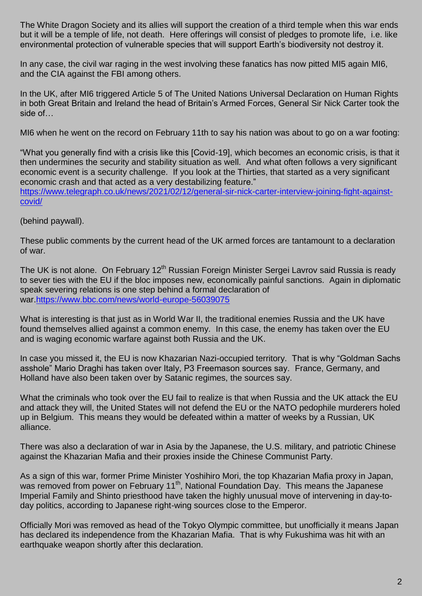The White Dragon Society and its allies will support the creation of a third temple when this war ends but it will be a temple of life, not death. Here offerings will consist of pledges to promote life, i.e. like environmental protection of vulnerable species that will support Earth's biodiversity not destroy it.

In any case, the civil war raging in the west involving these fanatics has now pitted MI5 again MI6, and the CIA against the FBI among others.

In the UK, after MI6 triggered Article 5 of The United Nations Universal Declaration on Human Rights in both Great Britain and Ireland the head of Britain's Armed Forces, General Sir Nick Carter took the side of…

MI6 when he went on the record on February 11th to say his nation was about to go on a war footing:

"What you generally find with a crisis like this [Covid-19], which becomes an economic crisis, is that it then undermines the security and stability situation as well. And what often follows a very significant economic event is a security challenge. If you look at the Thirties, that started as a very significant economic crash and that acted as a very destabilizing feature."

[https://www.telegraph.co.uk/news/2021/02/12/general-sir-nick-carter-interview-joining-fight-against](https://www.telegraph.co.uk/news/2021/02/12/general-sir-nick-carter-interview-joining-fight-against-covid/)[covid/](https://www.telegraph.co.uk/news/2021/02/12/general-sir-nick-carter-interview-joining-fight-against-covid/)

(behind paywall).

These public comments by the current head of the UK armed forces are tantamount to a declaration of war.

The UK is not alone. On February 12<sup>th</sup> Russian Foreign Minister Sergei Lavrov said Russia is ready to sever ties with the EU if the bloc imposes new, economically painful sanctions. Again in diplomatic speak severing relations is one step behind a formal declaration of war[.https://www.bbc.com/news/world-europe-56039075](https://www.bbc.com/news/world-europe-56039075)

What is interesting is that just as in World War II, the traditional enemies Russia and the UK have found themselves allied against a common enemy. In this case, the enemy has taken over the EU and is waging economic warfare against both Russia and the UK.

In case you missed it, the EU is now Khazarian Nazi-occupied territory. That is why "Goldman Sachs asshole" Mario Draghi has taken over Italy, P3 Freemason sources say. France, Germany, and Holland have also been taken over by Satanic regimes, the sources say.

What the criminals who took over the EU fail to realize is that when Russia and the UK attack the EU and attack they will, the United States will not defend the EU or the NATO pedophile murderers holed up in Belgium. This means they would be defeated within a matter of weeks by a Russian, UK alliance.

There was also a declaration of war in Asia by the Japanese, the U.S. military, and patriotic Chinese against the Khazarian Mafia and their proxies inside the Chinese Communist Party.

As a sign of this war, former Prime Minister Yoshihiro Mori, the top Khazarian Mafia proxy in Japan, was removed from power on February 11<sup>th</sup>, National Foundation Day. This means the Japanese Imperial Family and Shinto priesthood have taken the highly unusual move of intervening in day-today politics, according to Japanese right-wing sources close to the Emperor.

Officially Mori was removed as head of the Tokyo Olympic committee, but unofficially it means Japan has declared its independence from the Khazarian Mafia. That is why Fukushima was hit with an earthquake weapon shortly after this declaration.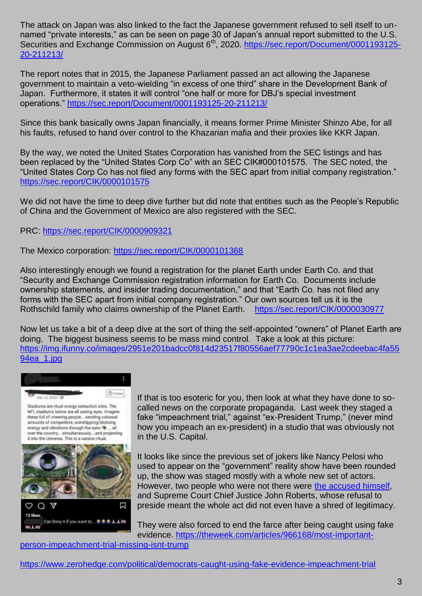The attack on Japan was also linked to the fact the Japanese government refused to sell itself to unnamed "private interests," as can be seen on page 30 of Japan's annual report submitted to the U.S. Securities and Exchange Commission on August 6<sup>th</sup>, 2020. [https://sec.report/Document/0001193125-](https://sec.report/Document/0001193125-20-211213/) [20-211213/](https://sec.report/Document/0001193125-20-211213/)

The report notes that in 2015, the Japanese Parliament passed an act allowing the Japanese government to maintain a veto-wielding "in excess of one third" share in the Development Bank of Japan. Furthermore, it states it will control "one half or more for DBJ's special investment operations."<https://sec.report/Document/0001193125-20-211213/>

Since this bank basically owns Japan financially, it means former Prime Minister Shinzo Abe, for all his faults, refused to hand over control to the Khazarian mafia and their proxies like KKR Japan.

By the way, we noted the United States Corporation has vanished from the SEC listings and has been replaced by the "United States Corp Co" with an SEC CIK#000101575. The SEC noted, the "United States Corp Co has not filed any forms with the SEC apart from initial company registration." <https://sec.report/CIK/0000101575>

We did not have the time to deep dive further but did note that entities such as the People's Republic of China and the Government of Mexico are also registered with the SEC.

PRC: <https://sec.report/CIK/0000909321>

The Mexico corporation: <https://sec.report/CIK/0000101368>

Also interestingly enough we found a registration for the planet Earth under Earth Co. and that "Security and Exchange Commission registration information for Earth Co. Documents include ownership statements, and insider trading documentation," and that "Earth Co. has not filed any forms with the SEC apart from initial company registration." Our own sources tell us it is the Rothschild family who claims ownership of the Planet Earth. <https://sec.report/CIK/0000030977>

Now let us take a bit of a deep dive at the sort of thing the self-appointed "owners" of Planet Earth are doing. The biggest business seems to be mass mind control. Take a look at this picture: [https://img.ifunny.co/images/2951e201badcc0f814d23517f80556aef77790c1c1ea3ae2cdeebac4fa55](https://img.ifunny.co/images/2951e201badcc0f814d23517f80556aef77790c1c1ea3ae2cdeebac4fa5594ea_1.jpg) [94ea\\_1.jpg](https://img.ifunny.co/images/2951e201badcc0f814d23517f80556aef77790c1c1ea3ae2cdeebac4fa5594ea_1.jpg)



Stadiums are ritual energy extraction sites. The NFL stadiums below are all seeing eyes. Imagine these full of cheering people... sending colossal amounts of competitive, worshipping/idolizing energy and vibrations through the eyes (8) .... all over the country... simultaneously....and projecting it into the Universe. This is a satanic ritual.



If that is too esoteric for you, then look at what they have done to socalled news on the corporate propaganda. Last week they staged a fake "impeachment trial," against "ex-President Trump," (never mind how you impeach an ex-president) in a studio that was obviously not in the U.S. Capital.

It looks like since the previous set of jokers like Nancy Pelosi who used to appear on the "government" reality show have been rounded up, the show was staged mostly with a whole new set of actors. However, two people who were not there were [the accused himself,](https://theweek.com/articles/965668/show-trial-no-reason-watch) and Supreme Court Chief Justice John Roberts, whose refusal to preside meant the whole act did not even have a shred of legitimacy.

They were also forced to end the farce after being caught using fake evidence. [https://theweek.com/articles/966168/most-important-](https://theweek.com/articles/966168/most-important-person-impeachment-trial-missing-isnt-trump)

[person-impeachment-trial-missing-isnt-trump](https://theweek.com/articles/966168/most-important-person-impeachment-trial-missing-isnt-trump)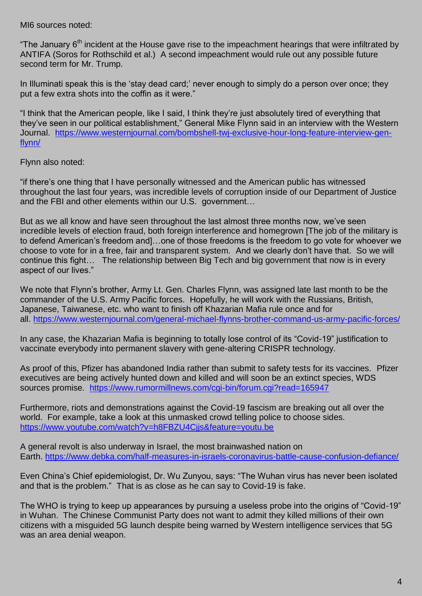MI6 sources noted:

"The January 6<sup>th</sup> incident at the House gave rise to the impeachment hearings that were infiltrated by ANTIFA (Soros for Rothschild et al.) A second impeachment would rule out any possible future second term for Mr. Trump.

In Illuminati speak this is the 'stay dead card;' never enough to simply do a person over once; they put a few extra shots into the coffin as it were."

"I think that the American people, like I said, I think they're just absolutely tired of everything that they've seen in our political establishment," General Mike Flynn said in an interview with the Western Journal. [https://www.westernjournal.com/bombshell-twj-exclusive-hour-long-feature-interview-gen](https://www.westernjournal.com/bombshell-twj-exclusive-hour-long-feature-interview-gen-flynn/)[flynn/](https://www.westernjournal.com/bombshell-twj-exclusive-hour-long-feature-interview-gen-flynn/)

Flynn also noted:

"if there's one thing that I have personally witnessed and the American public has witnessed throughout the last four years, was incredible levels of corruption inside of our Department of Justice and the FBI and other elements within our U.S. government…

But as we all know and have seen throughout the last almost three months now, we've seen incredible levels of election fraud, both foreign interference and homegrown [The job of the military is to defend American's freedom and]…one of those freedoms is the freedom to go vote for whoever we choose to vote for in a free, fair and transparent system. And we clearly don't have that. So we will continue this fight… The relationship between Big Tech and big government that now is in every aspect of our lives."

We note that Flynn's brother, Army Lt. Gen. Charles Flynn, was assigned late last month to be the commander of the U.S. Army Pacific forces. Hopefully, he will work with the Russians, British, Japanese, Taiwanese, etc. who want to finish off Khazarian Mafia rule once and for all. <https://www.westernjournal.com/general-michael-flynns-brother-command-us-army-pacific-forces/>

In any case, the Khazarian Mafia is beginning to totally lose control of its "Covid-19" justification to vaccinate everybody into permanent slavery with gene-altering CRISPR technology.

As proof of this, Pfizer has abandoned India rather than submit to safety tests for its vaccines. Pfizer executives are being actively hunted down and killed and will soon be an extinct species, WDS sources promise. <https://www.rumormillnews.com/cgi-bin/forum.cgi?read=165947>

Furthermore, riots and demonstrations against the Covid-19 fascism are breaking out all over the world. For example, take a look at this unmasked crowd telling police to choose sides. <https://www.youtube.com/watch?v=h8FBZU4Cjjs&feature=youtu.be>

A general revolt is also underway in Israel, the most brainwashed nation on Earth. <https://www.debka.com/half-measures-in-israels-coronavirus-battle-cause-confusion-defiance/>

Even China's Chief epidemiologist, Dr. Wu Zunyou, says: "The Wuhan virus has never been isolated and that is the problem." That is as close as he can say to Covid-19 is fake.

The WHO is trying to keep up appearances by pursuing a useless probe into the origins of "Covid-19" in Wuhan. The Chinese Communist Party does not want to admit they killed millions of their own citizens with a misguided 5G launch despite being warned by Western intelligence services that 5G was an area denial weapon.